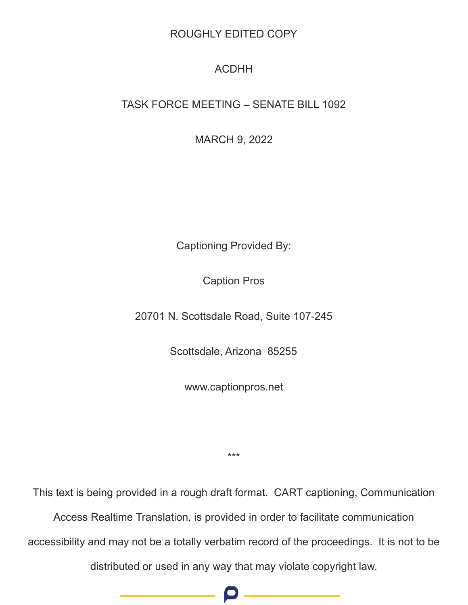## ROUGHLY EDITED COPY

## ACDHH

## TASK FORCE MEETING – SENATE BILL 1092

MARCH 9, 2022

Captioning Provided By:

Caption Pros

20701 N. Scottsdale Road, Suite 107-245

Scottsdale, Arizona 85255

www.captionpros.net

\*\*\*

This text is being provided in a rough draft format. CART captioning, Communication

Access Realtime Translation, is provided in order to facilitate communication

accessibility and may not be a totally verbatim record of the proceedings. It is not to be

distributed or used in any way that may violate copyright law.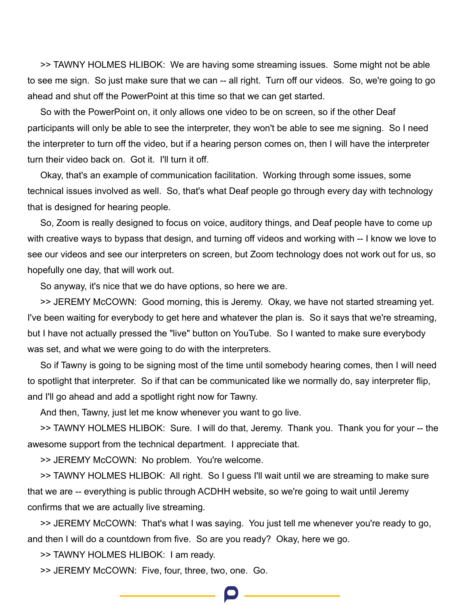>> TAWNY HOLMES HLIBOK: We are having some streaming issues. Some might not be able to see me sign. So just make sure that we can -- all right. Turn off our videos. So, we're going to go ahead and shut off the PowerPoint at this time so that we can get started.

So with the PowerPoint on, it only allows one video to be on screen, so if the other Deaf participants will only be able to see the interpreter, they won't be able to see me signing. So I need the interpreter to turn off the video, but if a hearing person comes on, then I will have the interpreter turn their video back on. Got it. I'll turn it off.

Okay, that's an example of communication facilitation. Working through some issues, some technical issues involved as well. So, that's what Deaf people go through every day with technology that is designed for hearing people.

So, Zoom is really designed to focus on voice, auditory things, and Deaf people have to come up with creative ways to bypass that design, and turning off videos and working with -- I know we love to see our videos and see our interpreters on screen, but Zoom technology does not work out for us, so hopefully one day, that will work out.

So anyway, it's nice that we do have options, so here we are.

>> JEREMY McCOWN: Good morning, this is Jeremy. Okay, we have not started streaming yet. I've been waiting for everybody to get here and whatever the plan is. So it says that we're streaming, but I have not actually pressed the "live" button on YouTube. So I wanted to make sure everybody was set, and what we were going to do with the interpreters.

So if Tawny is going to be signing most of the time until somebody hearing comes, then I will need to spotlight that interpreter. So if that can be communicated like we normally do, say interpreter flip, and I'll go ahead and add a spotlight right now for Tawny.

And then, Tawny, just let me know whenever you want to go live.

>> TAWNY HOLMES HLIBOK: Sure. I will do that, Jeremy. Thank you. Thank you for your -- the awesome support from the technical department. I appreciate that.

>> JEREMY McCOWN: No problem. You're welcome.

>> TAWNY HOLMES HLIBOK: All right. So I guess I'll wait until we are streaming to make sure that we are -- everything is public through ACDHH website, so we're going to wait until Jeremy confirms that we are actually live streaming.

>> JEREMY McCOWN: That's what I was saying. You just tell me whenever you're ready to go, and then I will do a countdown from five. So are you ready? Okay, here we go.

>> TAWNY HOLMES HLIBOK: I am ready.

>> JEREMY McCOWN: Five, four, three, two, one. Go.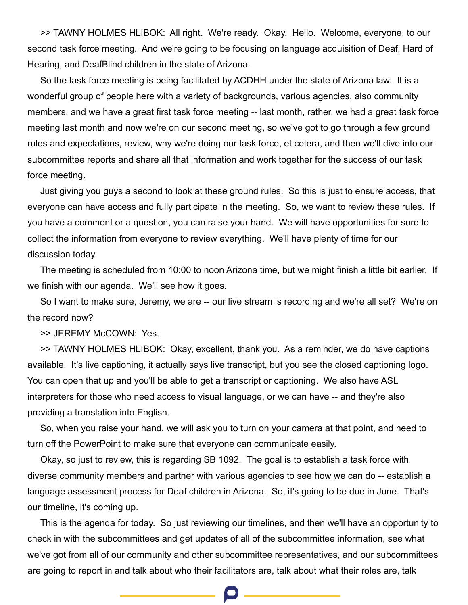>> TAWNY HOLMES HLIBOK: All right. We're ready. Okay. Hello. Welcome, everyone, to our second task force meeting. And we're going to be focusing on language acquisition of Deaf, Hard of Hearing, and DeafBlind children in the state of Arizona.

So the task force meeting is being facilitated by ACDHH under the state of Arizona law. It is a wonderful group of people here with a variety of backgrounds, various agencies, also community members, and we have a great first task force meeting -- last month, rather, we had a great task force meeting last month and now we're on our second meeting, so we've got to go through a few ground rules and expectations, review, why we're doing our task force, et cetera, and then we'll dive into our subcommittee reports and share all that information and work together for the success of our task force meeting.

Just giving you guys a second to look at these ground rules. So this is just to ensure access, that everyone can have access and fully participate in the meeting. So, we want to review these rules. If you have a comment or a question, you can raise your hand. We will have opportunities for sure to collect the information from everyone to review everything. We'll have plenty of time for our discussion today.

The meeting is scheduled from 10:00 to noon Arizona time, but we might finish a little bit earlier. If we finish with our agenda. We'll see how it goes.

So I want to make sure, Jeremy, we are -- our live stream is recording and we're all set? We're on the record now?

>> JEREMY McCOWN: Yes.

>> TAWNY HOLMES HLIBOK: Okay, excellent, thank you. As a reminder, we do have captions available. It's live captioning, it actually says live transcript, but you see the closed captioning logo. You can open that up and you'll be able to get a transcript or captioning. We also have ASL interpreters for those who need access to visual language, or we can have -- and they're also providing a translation into English.

So, when you raise your hand, we will ask you to turn on your camera at that point, and need to turn off the PowerPoint to make sure that everyone can communicate easily.

Okay, so just to review, this is regarding SB 1092. The goal is to establish a task force with diverse community members and partner with various agencies to see how we can do -- establish a language assessment process for Deaf children in Arizona. So, it's going to be due in June. That's our timeline, it's coming up.

This is the agenda for today. So just reviewing our timelines, and then we'll have an opportunity to check in with the subcommittees and get updates of all of the subcommittee information, see what we've got from all of our community and other subcommittee representatives, and our subcommittees are going to report in and talk about who their facilitators are, talk about what their roles are, talk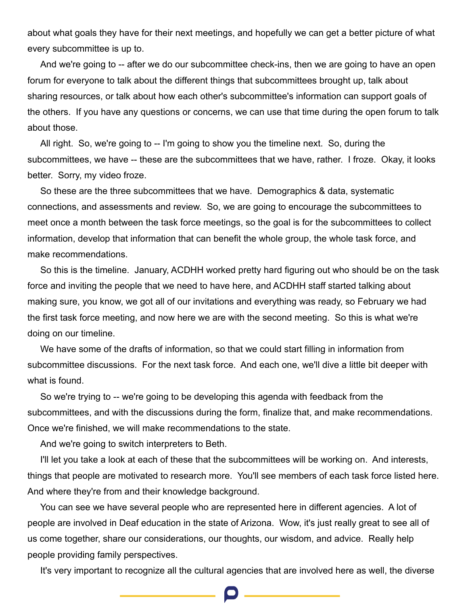about what goals they have for their next meetings, and hopefully we can get a better picture of what every subcommittee is up to.

And we're going to -- after we do our subcommittee check-ins, then we are going to have an open forum for everyone to talk about the different things that subcommittees brought up, talk about sharing resources, or talk about how each other's subcommittee's information can support goals of the others. If you have any questions or concerns, we can use that time during the open forum to talk about those.

All right. So, we're going to -- I'm going to show you the timeline next. So, during the subcommittees, we have -- these are the subcommittees that we have, rather. I froze. Okay, it looks better. Sorry, my video froze.

So these are the three subcommittees that we have. Demographics & data, systematic connections, and assessments and review. So, we are going to encourage the subcommittees to meet once a month between the task force meetings, so the goal is for the subcommittees to collect information, develop that information that can benefit the whole group, the whole task force, and make recommendations.

So this is the timeline. January, ACDHH worked pretty hard figuring out who should be on the task force and inviting the people that we need to have here, and ACDHH staff started talking about making sure, you know, we got all of our invitations and everything was ready, so February we had the first task force meeting, and now here we are with the second meeting. So this is what we're doing on our timeline.

We have some of the drafts of information, so that we could start filling in information from subcommittee discussions. For the next task force. And each one, we'll dive a little bit deeper with what is found.

So we're trying to -- we're going to be developing this agenda with feedback from the subcommittees, and with the discussions during the form, finalize that, and make recommendations. Once we're finished, we will make recommendations to the state.

And we're going to switch interpreters to Beth.

I'll let you take a look at each of these that the subcommittees will be working on. And interests, things that people are motivated to research more. You'll see members of each task force listed here. And where they're from and their knowledge background.

You can see we have several people who are represented here in different agencies. A lot of people are involved in Deaf education in the state of Arizona. Wow, it's just really great to see all of us come together, share our considerations, our thoughts, our wisdom, and advice. Really help people providing family perspectives.

It's very important to recognize all the cultural agencies that are involved here as well, the diverse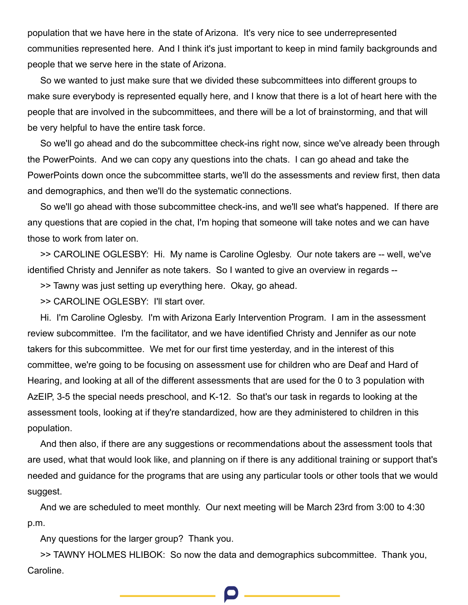population that we have here in the state of Arizona. It's very nice to see underrepresented communities represented here. And I think it's just important to keep in mind family backgrounds and people that we serve here in the state of Arizona.

So we wanted to just make sure that we divided these subcommittees into different groups to make sure everybody is represented equally here, and I know that there is a lot of heart here with the people that are involved in the subcommittees, and there will be a lot of brainstorming, and that will be very helpful to have the entire task force.

So we'll go ahead and do the subcommittee check-ins right now, since we've already been through the PowerPoints. And we can copy any questions into the chats. I can go ahead and take the PowerPoints down once the subcommittee starts, we'll do the assessments and review first, then data and demographics, and then we'll do the systematic connections.

So we'll go ahead with those subcommittee check-ins, and we'll see what's happened. If there are any questions that are copied in the chat, I'm hoping that someone will take notes and we can have those to work from later on.

>> CAROLINE OGLESBY: Hi. My name is Caroline Oglesby. Our note takers are -- well, we've identified Christy and Jennifer as note takers. So I wanted to give an overview in regards --

>> Tawny was just setting up everything here. Okay, go ahead.

>> CAROLINE OGLESBY: I'll start over.

Hi. I'm Caroline Oglesby. I'm with Arizona Early Intervention Program. I am in the assessment review subcommittee. I'm the facilitator, and we have identified Christy and Jennifer as our note takers for this subcommittee. We met for our first time yesterday, and in the interest of this committee, we're going to be focusing on assessment use for children who are Deaf and Hard of Hearing, and looking at all of the different assessments that are used for the 0 to 3 population with AzEIP, 3-5 the special needs preschool, and K-12. So that's our task in regards to looking at the assessment tools, looking at if they're standardized, how are they administered to children in this population.

And then also, if there are any suggestions or recommendations about the assessment tools that are used, what that would look like, and planning on if there is any additional training or support that's needed and guidance for the programs that are using any particular tools or other tools that we would suggest.

And we are scheduled to meet monthly. Our next meeting will be March 23rd from 3:00 to 4:30 p.m.

Any questions for the larger group? Thank you.

>> TAWNY HOLMES HLIBOK: So now the data and demographics subcommittee. Thank you, Caroline.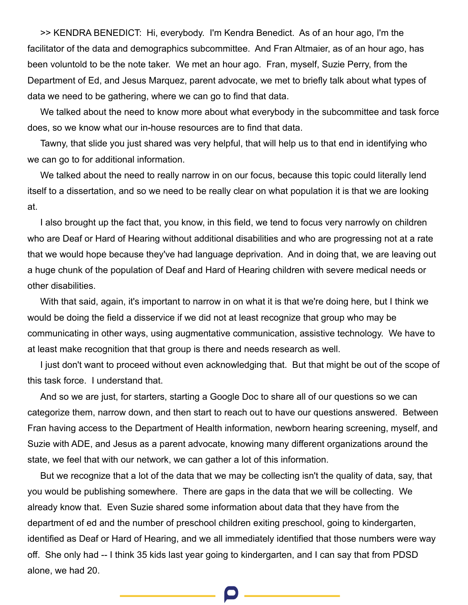>> KENDRA BENEDICT: Hi, everybody. I'm Kendra Benedict. As of an hour ago, I'm the facilitator of the data and demographics subcommittee. And Fran Altmaier, as of an hour ago, has been voluntold to be the note taker. We met an hour ago. Fran, myself, Suzie Perry, from the Department of Ed, and Jesus Marquez, parent advocate, we met to briefly talk about what types of data we need to be gathering, where we can go to find that data.

We talked about the need to know more about what everybody in the subcommittee and task force does, so we know what our in-house resources are to find that data.

Tawny, that slide you just shared was very helpful, that will help us to that end in identifying who we can go to for additional information.

We talked about the need to really narrow in on our focus, because this topic could literally lend itself to a dissertation, and so we need to be really clear on what population it is that we are looking at.

I also brought up the fact that, you know, in this field, we tend to focus very narrowly on children who are Deaf or Hard of Hearing without additional disabilities and who are progressing not at a rate that we would hope because they've had language deprivation. And in doing that, we are leaving out a huge chunk of the population of Deaf and Hard of Hearing children with severe medical needs or other disabilities.

With that said, again, it's important to narrow in on what it is that we're doing here, but I think we would be doing the field a disservice if we did not at least recognize that group who may be communicating in other ways, using augmentative communication, assistive technology. We have to at least make recognition that that group is there and needs research as well.

I just don't want to proceed without even acknowledging that. But that might be out of the scope of this task force. I understand that.

And so we are just, for starters, starting a Google Doc to share all of our questions so we can categorize them, narrow down, and then start to reach out to have our questions answered. Between Fran having access to the Department of Health information, newborn hearing screening, myself, and Suzie with ADE, and Jesus as a parent advocate, knowing many different organizations around the state, we feel that with our network, we can gather a lot of this information.

But we recognize that a lot of the data that we may be collecting isn't the quality of data, say, that you would be publishing somewhere. There are gaps in the data that we will be collecting. We already know that. Even Suzie shared some information about data that they have from the department of ed and the number of preschool children exiting preschool, going to kindergarten, identified as Deaf or Hard of Hearing, and we all immediately identified that those numbers were way off. She only had -- I think 35 kids last year going to kindergarten, and I can say that from PDSD alone, we had 20.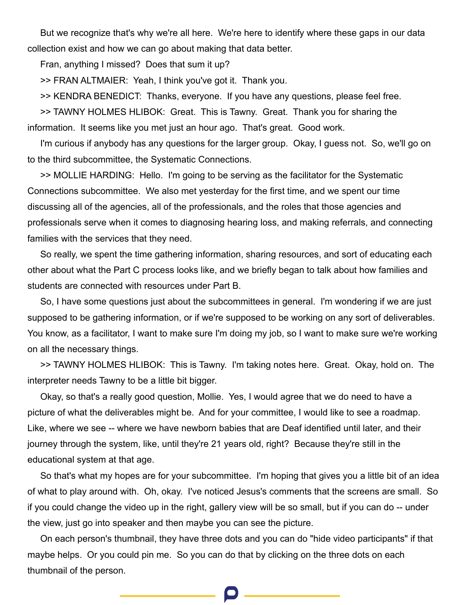But we recognize that's why we're all here. We're here to identify where these gaps in our data collection exist and how we can go about making that data better.

Fran, anything I missed? Does that sum it up?

>> FRAN ALTMAIER: Yeah, I think you've got it. Thank you.

>> KENDRA BENEDICT: Thanks, everyone. If you have any questions, please feel free.

>> TAWNY HOLMES HLIBOK: Great. This is Tawny. Great. Thank you for sharing the information. It seems like you met just an hour ago. That's great. Good work.

I'm curious if anybody has any questions for the larger group. Okay, I guess not. So, we'll go on to the third subcommittee, the Systematic Connections.

>> MOLLIE HARDING: Hello. I'm going to be serving as the facilitator for the Systematic Connections subcommittee. We also met yesterday for the first time, and we spent our time discussing all of the agencies, all of the professionals, and the roles that those agencies and professionals serve when it comes to diagnosing hearing loss, and making referrals, and connecting families with the services that they need.

So really, we spent the time gathering information, sharing resources, and sort of educating each other about what the Part C process looks like, and we briefly began to talk about how families and students are connected with resources under Part B.

So, I have some questions just about the subcommittees in general. I'm wondering if we are just supposed to be gathering information, or if we're supposed to be working on any sort of deliverables. You know, as a facilitator, I want to make sure I'm doing my job, so I want to make sure we're working on all the necessary things.

>> TAWNY HOLMES HLIBOK: This is Tawny. I'm taking notes here. Great. Okay, hold on. The interpreter needs Tawny to be a little bit bigger.

Okay, so that's a really good question, Mollie. Yes, I would agree that we do need to have a picture of what the deliverables might be. And for your committee, I would like to see a roadmap. Like, where we see -- where we have newborn babies that are Deaf identified until later, and their journey through the system, like, until they're 21 years old, right? Because they're still in the educational system at that age.

So that's what my hopes are for your subcommittee. I'm hoping that gives you a little bit of an idea of what to play around with. Oh, okay. I've noticed Jesus's comments that the screens are small. So if you could change the video up in the right, gallery view will be so small, but if you can do -- under the view, just go into speaker and then maybe you can see the picture.

On each person's thumbnail, they have three dots and you can do "hide video participants" if that maybe helps. Or you could pin me. So you can do that by clicking on the three dots on each thumbnail of the person.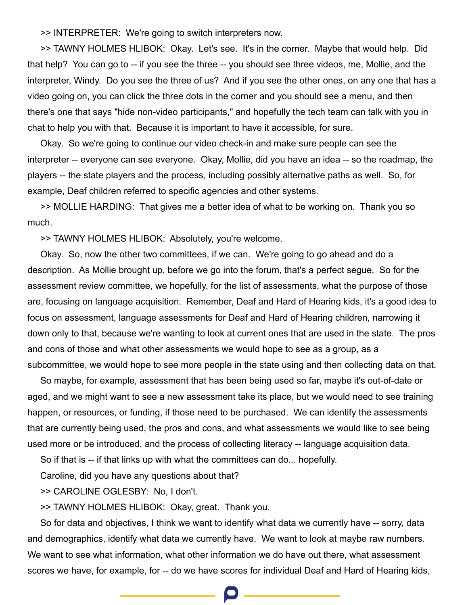>> INTERPRETER: We're going to switch interpreters now.

>> TAWNY HOLMES HLIBOK: Okay. Let's see. It's in the corner. Maybe that would help. Did that help? You can go to -- if you see the three -- you should see three videos, me, Mollie, and the interpreter, Windy. Do you see the three of us? And if you see the other ones, on any one that has a video going on, you can click the three dots in the corner and you should see a menu, and then there's one that says "hide non-video participants," and hopefully the tech team can talk with you in chat to help you with that. Because it is important to have it accessible, for sure.

Okay. So we're going to continue our video check-in and make sure people can see the interpreter -- everyone can see everyone. Okay, Mollie, did you have an idea -- so the roadmap, the players -- the state players and the process, including possibly alternative paths as well. So, for example, Deaf children referred to specific agencies and other systems.

>> MOLLIE HARDING: That gives me a better idea of what to be working on. Thank you so much.

>> TAWNY HOLMES HLIBOK: Absolutely, you're welcome.

Okay. So, now the other two committees, if we can. We're going to go ahead and do a description. As Mollie brought up, before we go into the forum, that's a perfect segue. So for the assessment review committee, we hopefully, for the list of assessments, what the purpose of those are, focusing on language acquisition. Remember, Deaf and Hard of Hearing kids, it's a good idea to focus on assessment, language assessments for Deaf and Hard of Hearing children, narrowing it down only to that, because we're wanting to look at current ones that are used in the state. The pros and cons of those and what other assessments we would hope to see as a group, as a subcommittee, we would hope to see more people in the state using and then collecting data on that.

So maybe, for example, assessment that has been being used so far, maybe it's out-of-date or aged, and we might want to see a new assessment take its place, but we would need to see training happen, or resources, or funding, if those need to be purchased. We can identify the assessments that are currently being used, the pros and cons, and what assessments we would like to see being used more or be introduced, and the process of collecting literacy -- language acquisition data.

So if that is -- if that links up with what the committees can do... hopefully.

Caroline, did you have any questions about that?

>> CAROLINE OGLESBY: No, I don't.

>> TAWNY HOLMES HLIBOK: Okay, great. Thank you.

So for data and objectives, I think we want to identify what data we currently have -- sorry, data and demographics, identify what data we currently have. We want to look at maybe raw numbers. We want to see what information, what other information we do have out there, what assessment scores we have, for example, for -- do we have scores for individual Deaf and Hard of Hearing kids,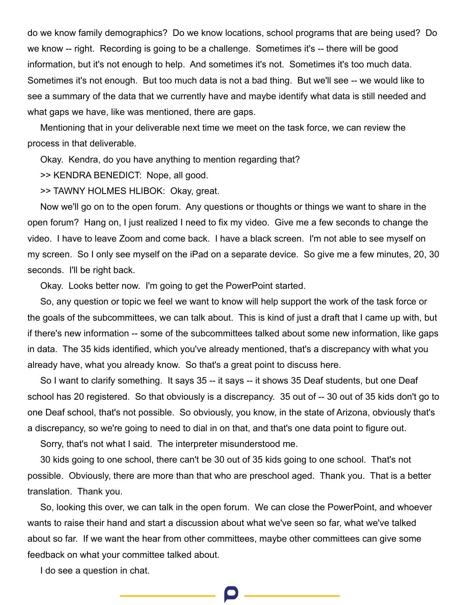do we know family demographics? Do we know locations, school programs that are being used? Do we know -- right. Recording is going to be a challenge. Sometimes it's -- there will be good information, but it's not enough to help. And sometimes it's not. Sometimes it's too much data. Sometimes it's not enough. But too much data is not a bad thing. But we'll see -- we would like to see a summary of the data that we currently have and maybe identify what data is still needed and what gaps we have, like was mentioned, there are gaps.

Mentioning that in your deliverable next time we meet on the task force, we can review the process in that deliverable.

Okay. Kendra, do you have anything to mention regarding that?

>> KENDRA BENEDICT: Nope, all good.

>> TAWNY HOLMES HLIBOK: Okay, great.

Now we'll go on to the open forum. Any questions or thoughts or things we want to share in the open forum? Hang on, I just realized I need to fix my video. Give me a few seconds to change the video. I have to leave Zoom and come back. I have a black screen. I'm not able to see myself on my screen. So I only see myself on the iPad on a separate device. So give me a few minutes, 20, 30 seconds. I'll be right back.

Okay. Looks better now. I'm going to get the PowerPoint started.

So, any question or topic we feel we want to know will help support the work of the task force or the goals of the subcommittees, we can talk about. This is kind of just a draft that I came up with, but if there's new information -- some of the subcommittees talked about some new information, like gaps in data. The 35 kids identified, which you've already mentioned, that's a discrepancy with what you already have, what you already know. So that's a great point to discuss here.

So I want to clarify something. It says 35 -- it says -- it shows 35 Deaf students, but one Deaf school has 20 registered. So that obviously is a discrepancy. 35 out of -- 30 out of 35 kids don't go to one Deaf school, that's not possible. So obviously, you know, in the state of Arizona, obviously that's a discrepancy, so we're going to need to dial in on that, and that's one data point to figure out.

Sorry, that's not what I said. The interpreter misunderstood me.

30 kids going to one school, there can't be 30 out of 35 kids going to one school. That's not possible. Obviously, there are more than that who are preschool aged. Thank you. That is a better translation. Thank you.

So, looking this over, we can talk in the open forum. We can close the PowerPoint, and whoever wants to raise their hand and start a discussion about what we've seen so far, what we've talked about so far. If we want the hear from other committees, maybe other committees can give some feedback on what your committee talked about.

I do see a question in chat.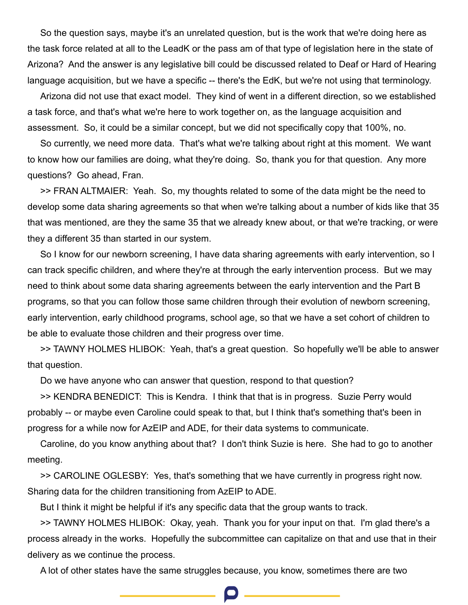So the question says, maybe it's an unrelated question, but is the work that we're doing here as the task force related at all to the LeadK or the pass am of that type of legislation here in the state of Arizona? And the answer is any legislative bill could be discussed related to Deaf or Hard of Hearing language acquisition, but we have a specific -- there's the EdK, but we're not using that terminology.

Arizona did not use that exact model. They kind of went in a different direction, so we established a task force, and that's what we're here to work together on, as the language acquisition and assessment. So, it could be a similar concept, but we did not specifically copy that 100%, no.

So currently, we need more data. That's what we're talking about right at this moment. We want to know how our families are doing, what they're doing. So, thank you for that question. Any more questions? Go ahead, Fran.

>> FRAN ALTMAIER: Yeah. So, my thoughts related to some of the data might be the need to develop some data sharing agreements so that when we're talking about a number of kids like that 35 that was mentioned, are they the same 35 that we already knew about, or that we're tracking, or were they a different 35 than started in our system.

So I know for our newborn screening, I have data sharing agreements with early intervention, so I can track specific children, and where they're at through the early intervention process. But we may need to think about some data sharing agreements between the early intervention and the Part B programs, so that you can follow those same children through their evolution of newborn screening, early intervention, early childhood programs, school age, so that we have a set cohort of children to be able to evaluate those children and their progress over time.

>> TAWNY HOLMES HLIBOK: Yeah, that's a great question. So hopefully we'll be able to answer that question.

Do we have anyone who can answer that question, respond to that question?

>> KENDRA BENEDICT: This is Kendra. I think that that is in progress. Suzie Perry would probably -- or maybe even Caroline could speak to that, but I think that's something that's been in progress for a while now for AzEIP and ADE, for their data systems to communicate.

Caroline, do you know anything about that? I don't think Suzie is here. She had to go to another meeting.

>> CAROLINE OGLESBY: Yes, that's something that we have currently in progress right now. Sharing data for the children transitioning from AzEIP to ADE.

But I think it might be helpful if it's any specific data that the group wants to track.

>> TAWNY HOLMES HLIBOK: Okay, yeah. Thank you for your input on that. I'm glad there's a process already in the works. Hopefully the subcommittee can capitalize on that and use that in their delivery as we continue the process.

A lot of other states have the same struggles because, you know, sometimes there are two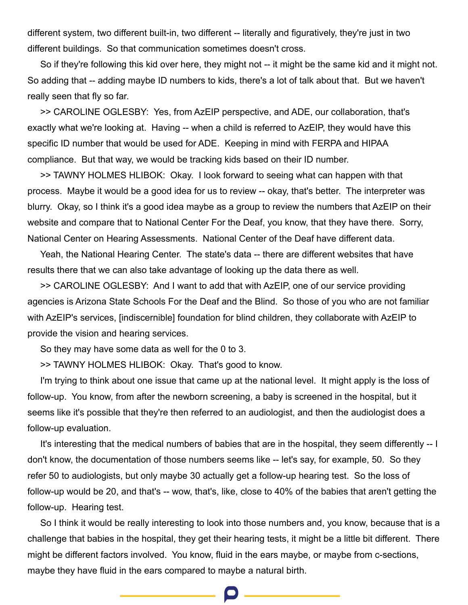different system, two different built-in, two different -- literally and figuratively, they're just in two different buildings. So that communication sometimes doesn't cross.

So if they're following this kid over here, they might not -- it might be the same kid and it might not. So adding that -- adding maybe ID numbers to kids, there's a lot of talk about that. But we haven't really seen that fly so far.

>> CAROLINE OGLESBY: Yes, from AzEIP perspective, and ADE, our collaboration, that's exactly what we're looking at. Having -- when a child is referred to AzEIP, they would have this specific ID number that would be used for ADE. Keeping in mind with FERPA and HIPAA compliance. But that way, we would be tracking kids based on their ID number.

>> TAWNY HOLMES HLIBOK: Okay. I look forward to seeing what can happen with that process. Maybe it would be a good idea for us to review -- okay, that's better. The interpreter was blurry. Okay, so I think it's a good idea maybe as a group to review the numbers that AzEIP on their website and compare that to National Center For the Deaf, you know, that they have there. Sorry, National Center on Hearing Assessments. National Center of the Deaf have different data.

Yeah, the National Hearing Center. The state's data -- there are different websites that have results there that we can also take advantage of looking up the data there as well.

>> CAROLINE OGLESBY: And I want to add that with AzEIP, one of our service providing agencies is Arizona State Schools For the Deaf and the Blind. So those of you who are not familiar with AzEIP's services, [indiscernible] foundation for blind children, they collaborate with AzEIP to provide the vision and hearing services.

So they may have some data as well for the 0 to 3.

>> TAWNY HOLMES HLIBOK: Okay. That's good to know.

I'm trying to think about one issue that came up at the national level. It might apply is the loss of follow-up. You know, from after the newborn screening, a baby is screened in the hospital, but it seems like it's possible that they're then referred to an audiologist, and then the audiologist does a follow-up evaluation.

It's interesting that the medical numbers of babies that are in the hospital, they seem differently -- I don't know, the documentation of those numbers seems like -- let's say, for example, 50. So they refer 50 to audiologists, but only maybe 30 actually get a follow-up hearing test. So the loss of follow-up would be 20, and that's -- wow, that's, like, close to 40% of the babies that aren't getting the follow-up. Hearing test.

So I think it would be really interesting to look into those numbers and, you know, because that is a challenge that babies in the hospital, they get their hearing tests, it might be a little bit different. There might be different factors involved. You know, fluid in the ears maybe, or maybe from c-sections, maybe they have fluid in the ears compared to maybe a natural birth.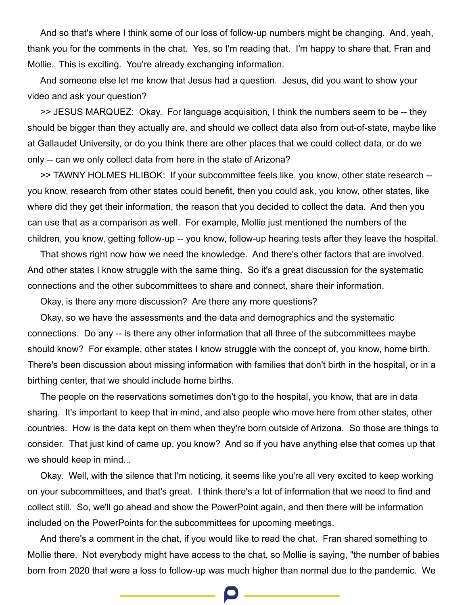And so that's where I think some of our loss of follow-up numbers might be changing. And, yeah, thank you for the comments in the chat. Yes, so I'm reading that. I'm happy to share that, Fran and Mollie. This is exciting. You're already exchanging information.

And someone else let me know that Jesus had a question. Jesus, did you want to show your video and ask your question?

>> JESUS MARQUEZ: Okay. For language acquisition, I think the numbers seem to be -- they should be bigger than they actually are, and should we collect data also from out-of-state, maybe like at Gallaudet University, or do you think there are other places that we could collect data, or do we only -- can we only collect data from here in the state of Arizona?

>> TAWNY HOLMES HLIBOK: If your subcommittee feels like, you know, other state research - you know, research from other states could benefit, then you could ask, you know, other states, like where did they get their information, the reason that you decided to collect the data. And then you can use that as a comparison as well. For example, Mollie just mentioned the numbers of the children, you know, getting follow-up -- you know, follow-up hearing tests after they leave the hospital.

That shows right now how we need the knowledge. And there's other factors that are involved. And other states I know struggle with the same thing. So it's a great discussion for the systematic connections and the other subcommittees to share and connect, share their information.

Okay, is there any more discussion? Are there any more questions?

Okay, so we have the assessments and the data and demographics and the systematic connections. Do any -- is there any other information that all three of the subcommittees maybe should know? For example, other states I know struggle with the concept of, you know, home birth. There's been discussion about missing information with families that don't birth in the hospital, or in a birthing center, that we should include home births.

The people on the reservations sometimes don't go to the hospital, you know, that are in data sharing. It's important to keep that in mind, and also people who move here from other states, other countries. How is the data kept on them when they're born outside of Arizona. So those are things to consider. That just kind of came up, you know? And so if you have anything else that comes up that we should keep in mind...

Okay. Well, with the silence that I'm noticing, it seems like you're all very excited to keep working on your subcommittees, and that's great. I think there's a lot of information that we need to find and collect still. So, we'll go ahead and show the PowerPoint again, and then there will be information included on the PowerPoints for the subcommittees for upcoming meetings.

And there's a comment in the chat, if you would like to read the chat. Fran shared something to Mollie there. Not everybody might have access to the chat, so Mollie is saying, "the number of babies born from 2020 that were a loss to follow-up was much higher than normal due to the pandemic. We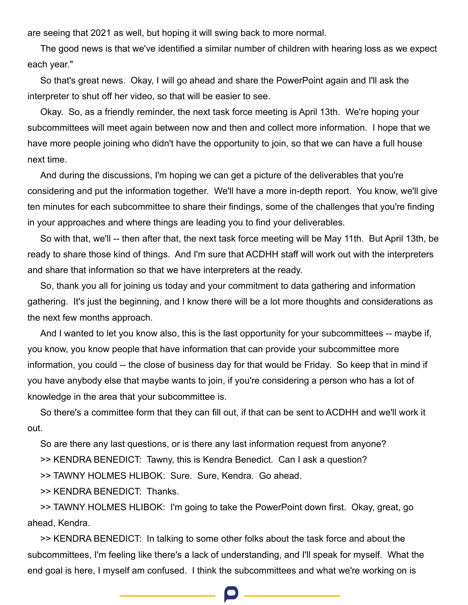are seeing that 2021 as well, but hoping it will swing back to more normal.

The good news is that we've identified a similar number of children with hearing loss as we expect each year."

So that's great news. Okay, I will go ahead and share the PowerPoint again and I'll ask the interpreter to shut off her video, so that will be easier to see.

Okay. So, as a friendly reminder, the next task force meeting is April 13th. We're hoping your subcommittees will meet again between now and then and collect more information. I hope that we have more people joining who didn't have the opportunity to join, so that we can have a full house next time.

And during the discussions, I'm hoping we can get a picture of the deliverables that you're considering and put the information together. We'll have a more in-depth report. You know, we'll give ten minutes for each subcommittee to share their findings, some of the challenges that you're finding in your approaches and where things are leading you to find your deliverables.

So with that, we'll -- then after that, the next task force meeting will be May 11th. But April 13th, be ready to share those kind of things. And I'm sure that ACDHH staff will work out with the interpreters and share that information so that we have interpreters at the ready.

So, thank you all for joining us today and your commitment to data gathering and information gathering. It's just the beginning, and I know there will be a lot more thoughts and considerations as the next few months approach.

And I wanted to let you know also, this is the last opportunity for your subcommittees -- maybe if, you know, you know people that have information that can provide your subcommittee more information, you could -- the close of business day for that would be Friday. So keep that in mind if you have anybody else that maybe wants to join, if you're considering a person who has a lot of knowledge in the area that your subcommittee is.

So there's a committee form that they can fill out, if that can be sent to ACDHH and we'll work it out.

So are there any last questions, or is there any last information request from anyone?

>> KENDRA BENEDICT: Tawny, this is Kendra Benedict. Can I ask a question?

>> TAWNY HOLMES HLIBOK: Sure. Sure, Kendra. Go ahead.

>> KENDRA BENEDICT: Thanks.

>> TAWNY HOLMES HLIBOK: I'm going to take the PowerPoint down first. Okay, great, go ahead, Kendra.

>> KENDRA BENEDICT: In talking to some other folks about the task force and about the subcommittees, I'm feeling like there's a lack of understanding, and I'll speak for myself. What the end goal is here, I myself am confused. I think the subcommittees and what we're working on is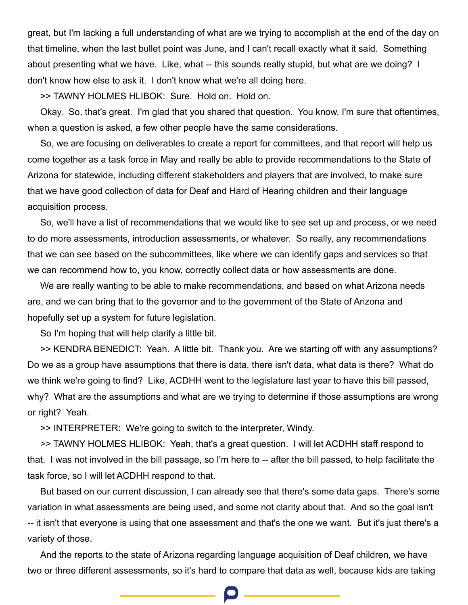great, but I'm lacking a full understanding of what are we trying to accomplish at the end of the day on that timeline, when the last bullet point was June, and I can't recall exactly what it said. Something about presenting what we have. Like, what -- this sounds really stupid, but what are we doing? I don't know how else to ask it. I don't know what we're all doing here.

>> TAWNY HOLMES HLIBOK: Sure. Hold on. Hold on.

Okay. So, that's great. I'm glad that you shared that question. You know, I'm sure that oftentimes, when a question is asked, a few other people have the same considerations.

So, we are focusing on deliverables to create a report for committees, and that report will help us come together as a task force in May and really be able to provide recommendations to the State of Arizona for statewide, including different stakeholders and players that are involved, to make sure that we have good collection of data for Deaf and Hard of Hearing children and their language acquisition process.

So, we'll have a list of recommendations that we would like to see set up and process, or we need to do more assessments, introduction assessments, or whatever. So really, any recommendations that we can see based on the subcommittees, like where we can identify gaps and services so that we can recommend how to, you know, correctly collect data or how assessments are done.

We are really wanting to be able to make recommendations, and based on what Arizona needs are, and we can bring that to the governor and to the government of the State of Arizona and hopefully set up a system for future legislation.

So I'm hoping that will help clarify a little bit.

>> KENDRA BENEDICT: Yeah. A little bit. Thank you. Are we starting off with any assumptions? Do we as a group have assumptions that there is data, there isn't data, what data is there? What do we think we're going to find? Like, ACDHH went to the legislature last year to have this bill passed, why? What are the assumptions and what are we trying to determine if those assumptions are wrong or right? Yeah.

>> INTERPRETER: We're going to switch to the interpreter, Windy.

>> TAWNY HOLMES HLIBOK: Yeah, that's a great question. I will let ACDHH staff respond to that. I was not involved in the bill passage, so I'm here to -- after the bill passed, to help facilitate the task force, so I will let ACDHH respond to that.

But based on our current discussion, I can already see that there's some data gaps. There's some variation in what assessments are being used, and some not clarity about that. And so the goal isn't -- it isn't that everyone is using that one assessment and that's the one we want. But it's just there's a variety of those.

And the reports to the state of Arizona regarding language acquisition of Deaf children, we have two or three different assessments, so it's hard to compare that data as well, because kids are taking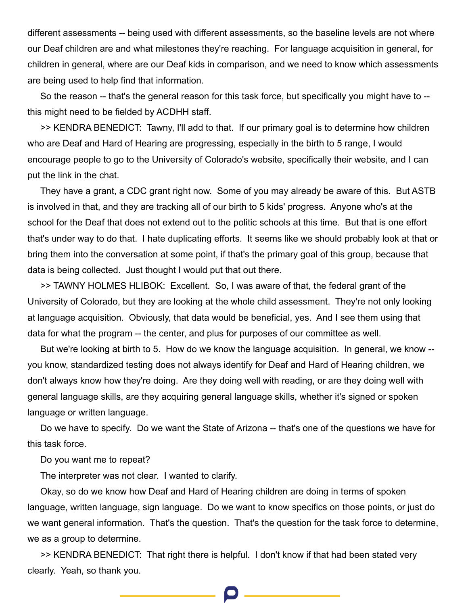different assessments -- being used with different assessments, so the baseline levels are not where our Deaf children are and what milestones they're reaching. For language acquisition in general, for children in general, where are our Deaf kids in comparison, and we need to know which assessments are being used to help find that information.

So the reason -- that's the general reason for this task force, but specifically you might have to - this might need to be fielded by ACDHH staff.

>> KENDRA BENEDICT: Tawny, I'll add to that. If our primary goal is to determine how children who are Deaf and Hard of Hearing are progressing, especially in the birth to 5 range, I would encourage people to go to the University of Colorado's website, specifically their website, and I can put the link in the chat.

They have a grant, a CDC grant right now. Some of you may already be aware of this. But ASTB is involved in that, and they are tracking all of our birth to 5 kids' progress. Anyone who's at the school for the Deaf that does not extend out to the politic schools at this time. But that is one effort that's under way to do that. I hate duplicating efforts. It seems like we should probably look at that or bring them into the conversation at some point, if that's the primary goal of this group, because that data is being collected. Just thought I would put that out there.

>> TAWNY HOLMES HLIBOK: Excellent. So, I was aware of that, the federal grant of the University of Colorado, but they are looking at the whole child assessment. They're not only looking at language acquisition. Obviously, that data would be beneficial, yes. And I see them using that data for what the program -- the center, and plus for purposes of our committee as well.

But we're looking at birth to 5. How do we know the language acquisition. In general, we know - you know, standardized testing does not always identify for Deaf and Hard of Hearing children, we don't always know how they're doing. Are they doing well with reading, or are they doing well with general language skills, are they acquiring general language skills, whether it's signed or spoken language or written language.

Do we have to specify. Do we want the State of Arizona -- that's one of the questions we have for this task force.

Do you want me to repeat?

The interpreter was not clear. I wanted to clarify.

Okay, so do we know how Deaf and Hard of Hearing children are doing in terms of spoken language, written language, sign language. Do we want to know specifics on those points, or just do we want general information. That's the question. That's the question for the task force to determine, we as a group to determine.

>> KENDRA BENEDICT: That right there is helpful. I don't know if that had been stated very clearly. Yeah, so thank you.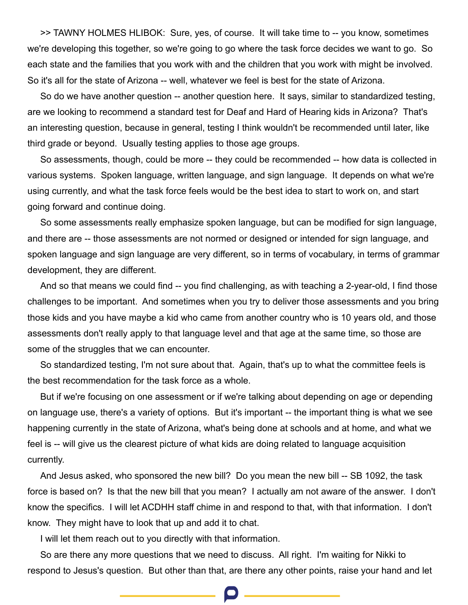>> TAWNY HOLMES HLIBOK: Sure, yes, of course. It will take time to -- you know, sometimes we're developing this together, so we're going to go where the task force decides we want to go. So each state and the families that you work with and the children that you work with might be involved. So it's all for the state of Arizona -- well, whatever we feel is best for the state of Arizona.

So do we have another question -- another question here. It says, similar to standardized testing, are we looking to recommend a standard test for Deaf and Hard of Hearing kids in Arizona? That's an interesting question, because in general, testing I think wouldn't be recommended until later, like third grade or beyond. Usually testing applies to those age groups.

So assessments, though, could be more -- they could be recommended -- how data is collected in various systems. Spoken language, written language, and sign language. It depends on what we're using currently, and what the task force feels would be the best idea to start to work on, and start going forward and continue doing.

So some assessments really emphasize spoken language, but can be modified for sign language, and there are -- those assessments are not normed or designed or intended for sign language, and spoken language and sign language are very different, so in terms of vocabulary, in terms of grammar development, they are different.

And so that means we could find -- you find challenging, as with teaching a 2-year-old, I find those challenges to be important. And sometimes when you try to deliver those assessments and you bring those kids and you have maybe a kid who came from another country who is 10 years old, and those assessments don't really apply to that language level and that age at the same time, so those are some of the struggles that we can encounter.

So standardized testing, I'm not sure about that. Again, that's up to what the committee feels is the best recommendation for the task force as a whole.

But if we're focusing on one assessment or if we're talking about depending on age or depending on language use, there's a variety of options. But it's important -- the important thing is what we see happening currently in the state of Arizona, what's being done at schools and at home, and what we feel is -- will give us the clearest picture of what kids are doing related to language acquisition currently.

And Jesus asked, who sponsored the new bill? Do you mean the new bill -- SB 1092, the task force is based on? Is that the new bill that you mean? I actually am not aware of the answer. I don't know the specifics. I will let ACDHH staff chime in and respond to that, with that information. I don't know. They might have to look that up and add it to chat.

I will let them reach out to you directly with that information.

So are there any more questions that we need to discuss. All right. I'm waiting for Nikki to respond to Jesus's question. But other than that, are there any other points, raise your hand and let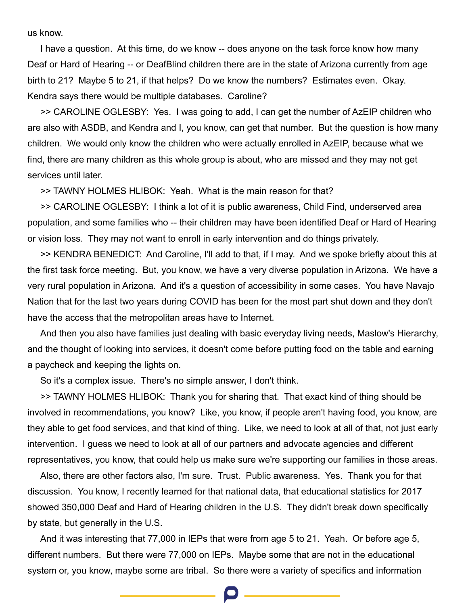us know.

I have a question. At this time, do we know -- does anyone on the task force know how many Deaf or Hard of Hearing -- or DeafBlind children there are in the state of Arizona currently from age birth to 21? Maybe 5 to 21, if that helps? Do we know the numbers? Estimates even. Okay. Kendra says there would be multiple databases. Caroline?

>> CAROLINE OGLESBY: Yes. I was going to add, I can get the number of AzEIP children who are also with ASDB, and Kendra and I, you know, can get that number. But the question is how many children. We would only know the children who were actually enrolled in AzEIP, because what we find, there are many children as this whole group is about, who are missed and they may not get services until later.

>> TAWNY HOLMES HLIBOK: Yeah. What is the main reason for that?

>> CAROLINE OGLESBY: I think a lot of it is public awareness, Child Find, underserved area population, and some families who -- their children may have been identified Deaf or Hard of Hearing or vision loss. They may not want to enroll in early intervention and do things privately.

>> KENDRA BENEDICT: And Caroline, I'll add to that, if I may. And we spoke briefly about this at the first task force meeting. But, you know, we have a very diverse population in Arizona. We have a very rural population in Arizona. And it's a question of accessibility in some cases. You have Navajo Nation that for the last two years during COVID has been for the most part shut down and they don't have the access that the metropolitan areas have to Internet.

And then you also have families just dealing with basic everyday living needs, Maslow's Hierarchy, and the thought of looking into services, it doesn't come before putting food on the table and earning a paycheck and keeping the lights on.

So it's a complex issue. There's no simple answer, I don't think.

>> TAWNY HOLMES HLIBOK: Thank you for sharing that. That exact kind of thing should be involved in recommendations, you know? Like, you know, if people aren't having food, you know, are they able to get food services, and that kind of thing. Like, we need to look at all of that, not just early intervention. I guess we need to look at all of our partners and advocate agencies and different representatives, you know, that could help us make sure we're supporting our families in those areas.

Also, there are other factors also, I'm sure. Trust. Public awareness. Yes. Thank you for that discussion. You know, I recently learned for that national data, that educational statistics for 2017 showed 350,000 Deaf and Hard of Hearing children in the U.S. They didn't break down specifically by state, but generally in the U.S.

And it was interesting that 77,000 in IEPs that were from age 5 to 21. Yeah. Or before age 5, different numbers. But there were 77,000 on IEPs. Maybe some that are not in the educational system or, you know, maybe some are tribal. So there were a variety of specifics and information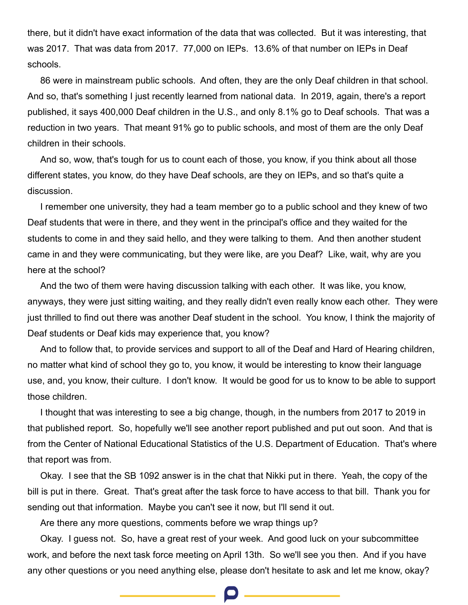there, but it didn't have exact information of the data that was collected. But it was interesting, that was 2017. That was data from 2017. 77,000 on IEPs. 13.6% of that number on IEPs in Deaf schools.

86 were in mainstream public schools. And often, they are the only Deaf children in that school. And so, that's something I just recently learned from national data. In 2019, again, there's a report published, it says 400,000 Deaf children in the U.S., and only 8.1% go to Deaf schools. That was a reduction in two years. That meant 91% go to public schools, and most of them are the only Deaf children in their schools.

And so, wow, that's tough for us to count each of those, you know, if you think about all those different states, you know, do they have Deaf schools, are they on IEPs, and so that's quite a discussion.

I remember one university, they had a team member go to a public school and they knew of two Deaf students that were in there, and they went in the principal's office and they waited for the students to come in and they said hello, and they were talking to them. And then another student came in and they were communicating, but they were like, are you Deaf? Like, wait, why are you here at the school?

And the two of them were having discussion talking with each other. It was like, you know, anyways, they were just sitting waiting, and they really didn't even really know each other. They were just thrilled to find out there was another Deaf student in the school. You know, I think the majority of Deaf students or Deaf kids may experience that, you know?

And to follow that, to provide services and support to all of the Deaf and Hard of Hearing children, no matter what kind of school they go to, you know, it would be interesting to know their language use, and, you know, their culture. I don't know. It would be good for us to know to be able to support those children.

I thought that was interesting to see a big change, though, in the numbers from 2017 to 2019 in that published report. So, hopefully we'll see another report published and put out soon. And that is from the Center of National Educational Statistics of the U.S. Department of Education. That's where that report was from.

Okay. I see that the SB 1092 answer is in the chat that Nikki put in there. Yeah, the copy of the bill is put in there. Great. That's great after the task force to have access to that bill. Thank you for sending out that information. Maybe you can't see it now, but I'll send it out.

Are there any more questions, comments before we wrap things up?

Okay. I guess not. So, have a great rest of your week. And good luck on your subcommittee work, and before the next task force meeting on April 13th. So we'll see you then. And if you have any other questions or you need anything else, please don't hesitate to ask and let me know, okay?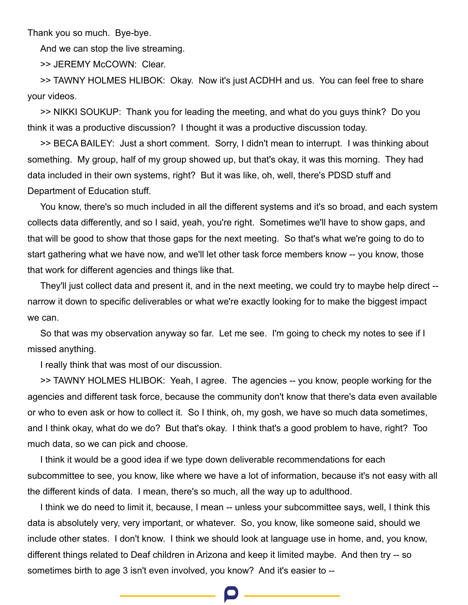Thank you so much. Bye-bye.

And we can stop the live streaming.

>> JEREMY McCOWN: Clear.

>> TAWNY HOLMES HLIBOK: Okay. Now it's just ACDHH and us. You can feel free to share your videos.

>> NIKKI SOUKUP: Thank you for leading the meeting, and what do you guys think? Do you think it was a productive discussion? I thought it was a productive discussion today.

>> BECA BAILEY: Just a short comment. Sorry, I didn't mean to interrupt. I was thinking about something. My group, half of my group showed up, but that's okay, it was this morning. They had data included in their own systems, right? But it was like, oh, well, there's PDSD stuff and Department of Education stuff.

You know, there's so much included in all the different systems and it's so broad, and each system collects data differently, and so I said, yeah, you're right. Sometimes we'll have to show gaps, and that will be good to show that those gaps for the next meeting. So that's what we're going to do to start gathering what we have now, and we'll let other task force members know -- you know, those that work for different agencies and things like that.

They'll just collect data and present it, and in the next meeting, we could try to maybe help direct - narrow it down to specific deliverables or what we're exactly looking for to make the biggest impact we can.

So that was my observation anyway so far. Let me see. I'm going to check my notes to see if I missed anything.

I really think that was most of our discussion.

>> TAWNY HOLMES HLIBOK: Yeah, I agree. The agencies -- you know, people working for the agencies and different task force, because the community don't know that there's data even available or who to even ask or how to collect it. So I think, oh, my gosh, we have so much data sometimes, and I think okay, what do we do? But that's okay. I think that's a good problem to have, right? Too much data, so we can pick and choose.

I think it would be a good idea if we type down deliverable recommendations for each subcommittee to see, you know, like where we have a lot of information, because it's not easy with all the different kinds of data. I mean, there's so much, all the way up to adulthood.

I think we do need to limit it, because, I mean -- unless your subcommittee says, well, I think this data is absolutely very, very important, or whatever. So, you know, like someone said, should we include other states. I don't know. I think we should look at language use in home, and, you know, different things related to Deaf children in Arizona and keep it limited maybe. And then try -- so sometimes birth to age 3 isn't even involved, you know? And it's easier to --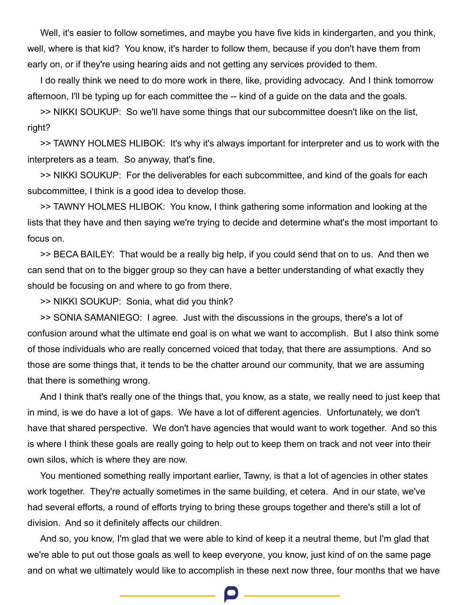Well, it's easier to follow sometimes, and maybe you have five kids in kindergarten, and you think, well, where is that kid? You know, it's harder to follow them, because if you don't have them from early on, or if they're using hearing aids and not getting any services provided to them.

I do really think we need to do more work in there, like, providing advocacy. And I think tomorrow afternoon, I'll be typing up for each committee the -- kind of a guide on the data and the goals.

>> NIKKI SOUKUP: So we'll have some things that our subcommittee doesn't like on the list, right?

>> TAWNY HOLMES HLIBOK: It's why it's always important for interpreter and us to work with the interpreters as a team. So anyway, that's fine.

>> NIKKI SOUKUP: For the deliverables for each subcommittee, and kind of the goals for each subcommittee, I think is a good idea to develop those.

>> TAWNY HOLMES HLIBOK: You know, I think gathering some information and looking at the lists that they have and then saying we're trying to decide and determine what's the most important to focus on.

>> BECA BAILEY: That would be a really big help, if you could send that on to us. And then we can send that on to the bigger group so they can have a better understanding of what exactly they should be focusing on and where to go from there.

>> NIKKI SOUKUP: Sonia, what did you think?

>> SONIA SAMANIEGO: I agree. Just with the discussions in the groups, there's a lot of confusion around what the ultimate end goal is on what we want to accomplish. But I also think some of those individuals who are really concerned voiced that today, that there are assumptions. And so those are some things that, it tends to be the chatter around our community, that we are assuming that there is something wrong.

And I think that's really one of the things that, you know, as a state, we really need to just keep that in mind, is we do have a lot of gaps. We have a lot of different agencies. Unfortunately, we don't have that shared perspective. We don't have agencies that would want to work together. And so this is where I think these goals are really going to help out to keep them on track and not veer into their own silos, which is where they are now.

You mentioned something really important earlier, Tawny, is that a lot of agencies in other states work together. They're actually sometimes in the same building, et cetera. And in our state, we've had several efforts, a round of efforts trying to bring these groups together and there's still a lot of division. And so it definitely affects our children.

And so, you know, I'm glad that we were able to kind of keep it a neutral theme, but I'm glad that we're able to put out those goals as well to keep everyone, you know, just kind of on the same page and on what we ultimately would like to accomplish in these next now three, four months that we have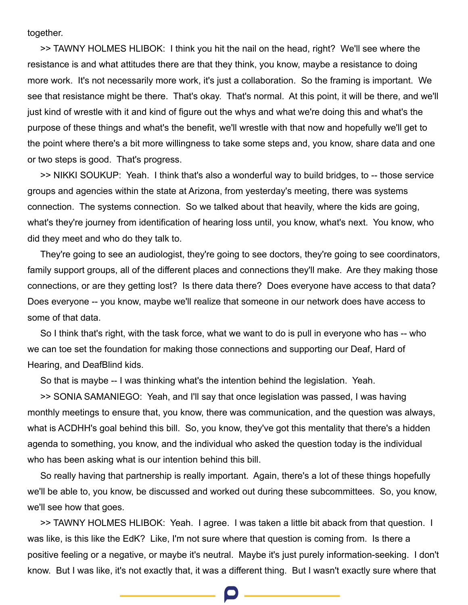together.

>> TAWNY HOLMES HLIBOK: I think you hit the nail on the head, right? We'll see where the resistance is and what attitudes there are that they think, you know, maybe a resistance to doing more work. It's not necessarily more work, it's just a collaboration. So the framing is important. We see that resistance might be there. That's okay. That's normal. At this point, it will be there, and we'll just kind of wrestle with it and kind of figure out the whys and what we're doing this and what's the purpose of these things and what's the benefit, we'll wrestle with that now and hopefully we'll get to the point where there's a bit more willingness to take some steps and, you know, share data and one or two steps is good. That's progress.

>> NIKKI SOUKUP: Yeah. I think that's also a wonderful way to build bridges, to -- those service groups and agencies within the state at Arizona, from yesterday's meeting, there was systems connection. The systems connection. So we talked about that heavily, where the kids are going, what's they're journey from identification of hearing loss until, you know, what's next. You know, who did they meet and who do they talk to.

They're going to see an audiologist, they're going to see doctors, they're going to see coordinators, family support groups, all of the different places and connections they'll make. Are they making those connections, or are they getting lost? Is there data there? Does everyone have access to that data? Does everyone -- you know, maybe we'll realize that someone in our network does have access to some of that data.

So I think that's right, with the task force, what we want to do is pull in everyone who has -- who we can toe set the foundation for making those connections and supporting our Deaf, Hard of Hearing, and DeafBlind kids.

So that is maybe -- I was thinking what's the intention behind the legislation. Yeah.

>> SONIA SAMANIEGO: Yeah, and I'll say that once legislation was passed, I was having monthly meetings to ensure that, you know, there was communication, and the question was always, what is ACDHH's goal behind this bill. So, you know, they've got this mentality that there's a hidden agenda to something, you know, and the individual who asked the question today is the individual who has been asking what is our intention behind this bill.

So really having that partnership is really important. Again, there's a lot of these things hopefully we'll be able to, you know, be discussed and worked out during these subcommittees. So, you know, we'll see how that goes.

>> TAWNY HOLMES HLIBOK: Yeah. I agree. I was taken a little bit aback from that question. I was like, is this like the EdK? Like, I'm not sure where that question is coming from. Is there a positive feeling or a negative, or maybe it's neutral. Maybe it's just purely information-seeking. I don't know. But I was like, it's not exactly that, it was a different thing. But I wasn't exactly sure where that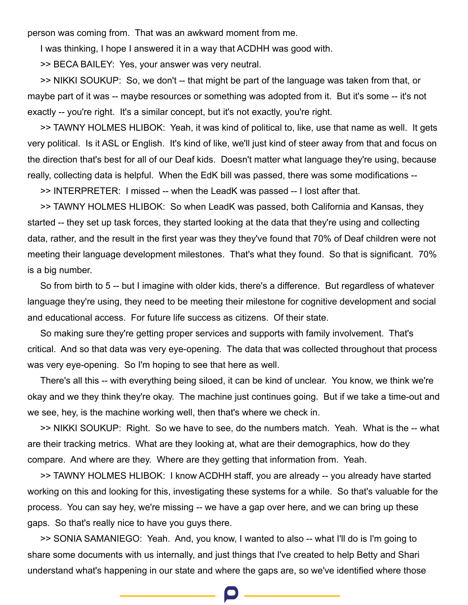person was coming from. That was an awkward moment from me.

I was thinking, I hope I answered it in a way that ACDHH was good with.

>> BECA BAILEY: Yes, your answer was very neutral.

>> NIKKI SOUKUP: So, we don't -- that might be part of the language was taken from that, or maybe part of it was -- maybe resources or something was adopted from it. But it's some -- it's not exactly -- you're right. It's a similar concept, but it's not exactly, you're right.

>> TAWNY HOLMES HLIBOK: Yeah, it was kind of political to, like, use that name as well. It gets very political. Is it ASL or English. It's kind of like, we'll just kind of steer away from that and focus on the direction that's best for all of our Deaf kids. Doesn't matter what language they're using, because really, collecting data is helpful. When the EdK bill was passed, there was some modifications --

>> INTERPRETER: I missed -- when the LeadK was passed -- I lost after that.

>> TAWNY HOLMES HLIBOK: So when LeadK was passed, both California and Kansas, they started -- they set up task forces, they started looking at the data that they're using and collecting data, rather, and the result in the first year was they they've found that 70% of Deaf children were not meeting their language development milestones. That's what they found. So that is significant. 70% is a big number.

So from birth to 5 -- but I imagine with older kids, there's a difference. But regardless of whatever language they're using, they need to be meeting their milestone for cognitive development and social and educational access. For future life success as citizens. Of their state.

So making sure they're getting proper services and supports with family involvement. That's critical. And so that data was very eye-opening. The data that was collected throughout that process was very eye-opening. So I'm hoping to see that here as well.

There's all this -- with everything being siloed, it can be kind of unclear. You know, we think we're okay and we they think they're okay. The machine just continues going. But if we take a time-out and we see, hey, is the machine working well, then that's where we check in.

>> NIKKI SOUKUP: Right. So we have to see, do the numbers match. Yeah. What is the -- what are their tracking metrics. What are they looking at, what are their demographics, how do they compare. And where are they. Where are they getting that information from. Yeah.

>> TAWNY HOLMES HLIBOK: I know ACDHH staff, you are already -- you already have started working on this and looking for this, investigating these systems for a while. So that's valuable for the process. You can say hey, we're missing -- we have a gap over here, and we can bring up these gaps. So that's really nice to have you guys there.

>> SONIA SAMANIEGO: Yeah. And, you know, I wanted to also -- what I'll do is I'm going to share some documents with us internally, and just things that I've created to help Betty and Shari understand what's happening in our state and where the gaps are, so we've identified where those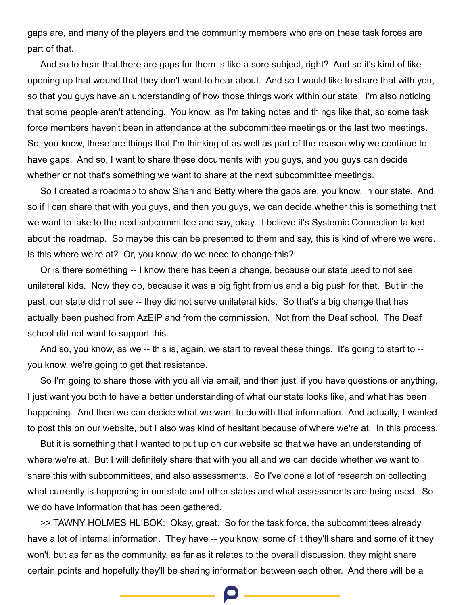gaps are, and many of the players and the community members who are on these task forces are part of that.

And so to hear that there are gaps for them is like a sore subject, right? And so it's kind of like opening up that wound that they don't want to hear about. And so I would like to share that with you, so that you guys have an understanding of how those things work within our state. I'm also noticing that some people aren't attending. You know, as I'm taking notes and things like that, so some task force members haven't been in attendance at the subcommittee meetings or the last two meetings. So, you know, these are things that I'm thinking of as well as part of the reason why we continue to have gaps. And so, I want to share these documents with you guys, and you guys can decide whether or not that's something we want to share at the next subcommittee meetings.

So I created a roadmap to show Shari and Betty where the gaps are, you know, in our state. And so if I can share that with you guys, and then you guys, we can decide whether this is something that we want to take to the next subcommittee and say, okay. I believe it's Systemic Connection talked about the roadmap. So maybe this can be presented to them and say, this is kind of where we were. Is this where we're at? Or, you know, do we need to change this?

Or is there something -- I know there has been a change, because our state used to not see unilateral kids. Now they do, because it was a big fight from us and a big push for that. But in the past, our state did not see -- they did not serve unilateral kids. So that's a big change that has actually been pushed from AzEIP and from the commission. Not from the Deaf school. The Deaf school did not want to support this.

And so, you know, as we -- this is, again, we start to reveal these things. It's going to start to - you know, we're going to get that resistance.

So I'm going to share those with you all via email, and then just, if you have questions or anything, I just want you both to have a better understanding of what our state looks like, and what has been happening. And then we can decide what we want to do with that information. And actually, I wanted to post this on our website, but I also was kind of hesitant because of where we're at. In this process.

But it is something that I wanted to put up on our website so that we have an understanding of where we're at. But I will definitely share that with you all and we can decide whether we want to share this with subcommittees, and also assessments. So I've done a lot of research on collecting what currently is happening in our state and other states and what assessments are being used. So we do have information that has been gathered.

>> TAWNY HOLMES HLIBOK: Okay, great. So for the task force, the subcommittees already have a lot of internal information. They have -- you know, some of it they'll share and some of it they won't, but as far as the community, as far as it relates to the overall discussion, they might share certain points and hopefully they'll be sharing information between each other. And there will be a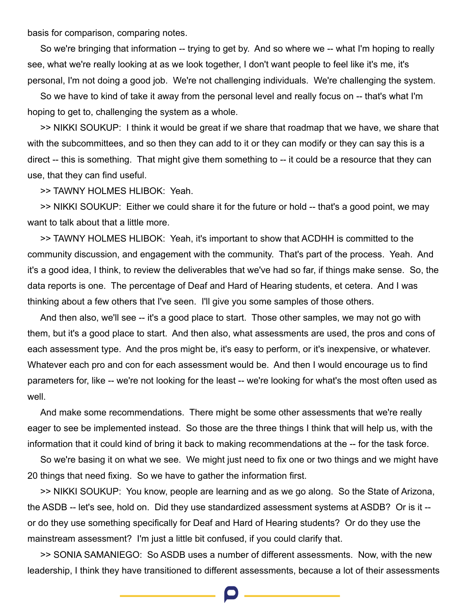basis for comparison, comparing notes.

So we're bringing that information -- trying to get by. And so where we -- what I'm hoping to really see, what we're really looking at as we look together, I don't want people to feel like it's me, it's personal, I'm not doing a good job. We're not challenging individuals. We're challenging the system.

So we have to kind of take it away from the personal level and really focus on -- that's what I'm hoping to get to, challenging the system as a whole.

>> NIKKI SOUKUP: I think it would be great if we share that roadmap that we have, we share that with the subcommittees, and so then they can add to it or they can modify or they can say this is a direct -- this is something. That might give them something to -- it could be a resource that they can use, that they can find useful.

>> TAWNY HOLMES HLIBOK: Yeah.

>> NIKKI SOUKUP: Either we could share it for the future or hold -- that's a good point, we may want to talk about that a little more.

>> TAWNY HOLMES HLIBOK: Yeah, it's important to show that ACDHH is committed to the community discussion, and engagement with the community. That's part of the process. Yeah. And it's a good idea, I think, to review the deliverables that we've had so far, if things make sense. So, the data reports is one. The percentage of Deaf and Hard of Hearing students, et cetera. And I was thinking about a few others that I've seen. I'll give you some samples of those others.

And then also, we'll see -- it's a good place to start. Those other samples, we may not go with them, but it's a good place to start. And then also, what assessments are used, the pros and cons of each assessment type. And the pros might be, it's easy to perform, or it's inexpensive, or whatever. Whatever each pro and con for each assessment would be. And then I would encourage us to find parameters for, like -- we're not looking for the least -- we're looking for what's the most often used as well.

And make some recommendations. There might be some other assessments that we're really eager to see be implemented instead. So those are the three things I think that will help us, with the information that it could kind of bring it back to making recommendations at the -- for the task force.

So we're basing it on what we see. We might just need to fix one or two things and we might have 20 things that need fixing. So we have to gather the information first.

>> NIKKI SOUKUP: You know, people are learning and as we go along. So the State of Arizona, the ASDB -- let's see, hold on. Did they use standardized assessment systems at ASDB? Or is it - or do they use something specifically for Deaf and Hard of Hearing students? Or do they use the mainstream assessment? I'm just a little bit confused, if you could clarify that.

>> SONIA SAMANIEGO: So ASDB uses a number of different assessments. Now, with the new leadership, I think they have transitioned to different assessments, because a lot of their assessments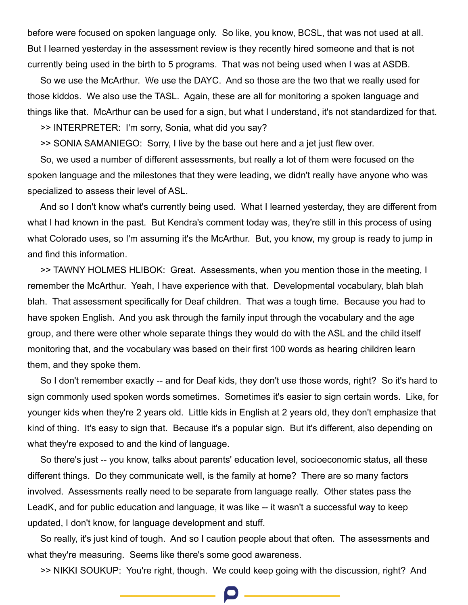before were focused on spoken language only. So like, you know, BCSL, that was not used at all. But I learned yesterday in the assessment review is they recently hired someone and that is not currently being used in the birth to 5 programs. That was not being used when I was at ASDB.

So we use the McArthur. We use the DAYC. And so those are the two that we really used for those kiddos. We also use the TASL. Again, these are all for monitoring a spoken language and things like that. McArthur can be used for a sign, but what I understand, it's not standardized for that.

>> INTERPRETER: I'm sorry, Sonia, what did you say?

>> SONIA SAMANIEGO: Sorry, I live by the base out here and a jet just flew over.

So, we used a number of different assessments, but really a lot of them were focused on the spoken language and the milestones that they were leading, we didn't really have anyone who was specialized to assess their level of ASL.

And so I don't know what's currently being used. What I learned yesterday, they are different from what I had known in the past. But Kendra's comment today was, they're still in this process of using what Colorado uses, so I'm assuming it's the McArthur. But, you know, my group is ready to jump in and find this information.

>> TAWNY HOLMES HLIBOK: Great. Assessments, when you mention those in the meeting, I remember the McArthur. Yeah, I have experience with that. Developmental vocabulary, blah blah blah. That assessment specifically for Deaf children. That was a tough time. Because you had to have spoken English. And you ask through the family input through the vocabulary and the age group, and there were other whole separate things they would do with the ASL and the child itself monitoring that, and the vocabulary was based on their first 100 words as hearing children learn them, and they spoke them.

So I don't remember exactly -- and for Deaf kids, they don't use those words, right? So it's hard to sign commonly used spoken words sometimes. Sometimes it's easier to sign certain words. Like, for younger kids when they're 2 years old. Little kids in English at 2 years old, they don't emphasize that kind of thing. It's easy to sign that. Because it's a popular sign. But it's different, also depending on what they're exposed to and the kind of language.

So there's just -- you know, talks about parents' education level, socioeconomic status, all these different things. Do they communicate well, is the family at home? There are so many factors involved. Assessments really need to be separate from language really. Other states pass the LeadK, and for public education and language, it was like -- it wasn't a successful way to keep updated, I don't know, for language development and stuff.

So really, it's just kind of tough. And so I caution people about that often. The assessments and what they're measuring. Seems like there's some good awareness.

>> NIKKI SOUKUP: You're right, though. We could keep going with the discussion, right? And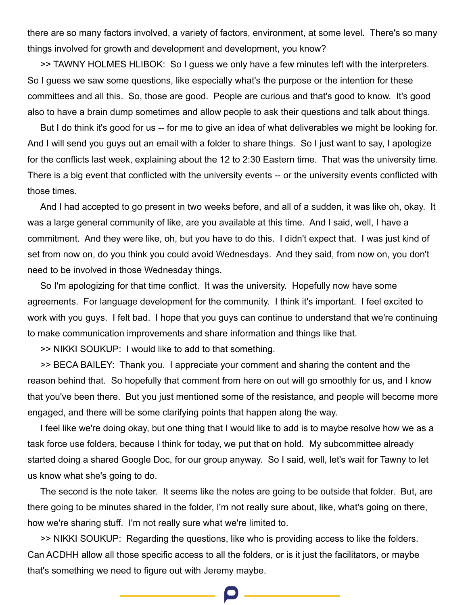there are so many factors involved, a variety of factors, environment, at some level. There's so many things involved for growth and development and development, you know?

>> TAWNY HOLMES HLIBOK: So I guess we only have a few minutes left with the interpreters. So I guess we saw some questions, like especially what's the purpose or the intention for these committees and all this. So, those are good. People are curious and that's good to know. It's good also to have a brain dump sometimes and allow people to ask their questions and talk about things.

But I do think it's good for us -- for me to give an idea of what deliverables we might be looking for. And I will send you guys out an email with a folder to share things. So I just want to say, I apologize for the conflicts last week, explaining about the 12 to 2:30 Eastern time. That was the university time. There is a big event that conflicted with the university events -- or the university events conflicted with those times.

And I had accepted to go present in two weeks before, and all of a sudden, it was like oh, okay. It was a large general community of like, are you available at this time. And I said, well, I have a commitment. And they were like, oh, but you have to do this. I didn't expect that. I was just kind of set from now on, do you think you could avoid Wednesdays. And they said, from now on, you don't need to be involved in those Wednesday things.

So I'm apologizing for that time conflict. It was the university. Hopefully now have some agreements. For language development for the community. I think it's important. I feel excited to work with you guys. I felt bad. I hope that you guys can continue to understand that we're continuing to make communication improvements and share information and things like that.

>> NIKKI SOUKUP: I would like to add to that something.

>> BECA BAILEY: Thank you. I appreciate your comment and sharing the content and the reason behind that. So hopefully that comment from here on out will go smoothly for us, and I know that you've been there. But you just mentioned some of the resistance, and people will become more engaged, and there will be some clarifying points that happen along the way.

I feel like we're doing okay, but one thing that I would like to add is to maybe resolve how we as a task force use folders, because I think for today, we put that on hold. My subcommittee already started doing a shared Google Doc, for our group anyway. So I said, well, let's wait for Tawny to let us know what she's going to do.

The second is the note taker. It seems like the notes are going to be outside that folder. But, are there going to be minutes shared in the folder, I'm not really sure about, like, what's going on there, how we're sharing stuff. I'm not really sure what we're limited to.

>> NIKKI SOUKUP: Regarding the questions, like who is providing access to like the folders. Can ACDHH allow all those specific access to all the folders, or is it just the facilitators, or maybe that's something we need to figure out with Jeremy maybe.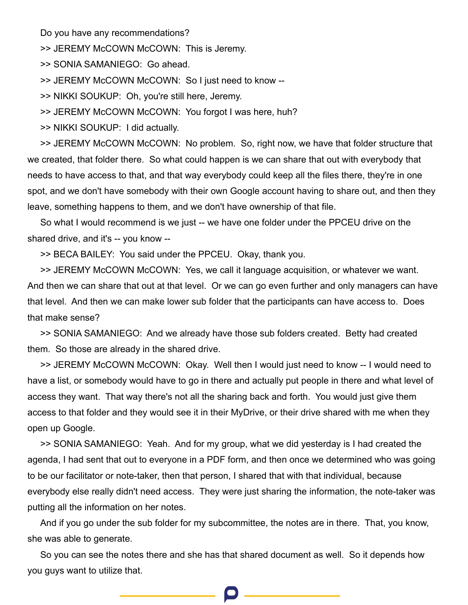Do you have any recommendations?

>> JEREMY McCOWN McCOWN: This is Jeremy.

>> SONIA SAMANIEGO: Go ahead.

>> JEREMY McCOWN McCOWN: So I just need to know --

>> NIKKI SOUKUP: Oh, you're still here, Jeremy.

>> JEREMY McCOWN McCOWN: You forgot I was here, huh?

>> NIKKI SOUKUP: I did actually.

>> JEREMY McCOWN McCOWN: No problem. So, right now, we have that folder structure that we created, that folder there. So what could happen is we can share that out with everybody that needs to have access to that, and that way everybody could keep all the files there, they're in one spot, and we don't have somebody with their own Google account having to share out, and then they leave, something happens to them, and we don't have ownership of that file.

So what I would recommend is we just -- we have one folder under the PPCEU drive on the shared drive, and it's -- you know --

>> BECA BAILEY: You said under the PPCEU. Okay, thank you.

>> JEREMY McCOWN McCOWN: Yes, we call it language acquisition, or whatever we want. And then we can share that out at that level. Or we can go even further and only managers can have that level. And then we can make lower sub folder that the participants can have access to. Does that make sense?

>> SONIA SAMANIEGO: And we already have those sub folders created. Betty had created them. So those are already in the shared drive.

>> JEREMY McCOWN McCOWN: Okay. Well then I would just need to know -- I would need to have a list, or somebody would have to go in there and actually put people in there and what level of access they want. That way there's not all the sharing back and forth. You would just give them access to that folder and they would see it in their MyDrive, or their drive shared with me when they open up Google.

>> SONIA SAMANIEGO: Yeah. And for my group, what we did yesterday is I had created the agenda, I had sent that out to everyone in a PDF form, and then once we determined who was going to be our facilitator or note-taker, then that person, I shared that with that individual, because everybody else really didn't need access. They were just sharing the information, the note-taker was putting all the information on her notes.

And if you go under the sub folder for my subcommittee, the notes are in there. That, you know, she was able to generate.

So you can see the notes there and she has that shared document as well. So it depends how you guys want to utilize that.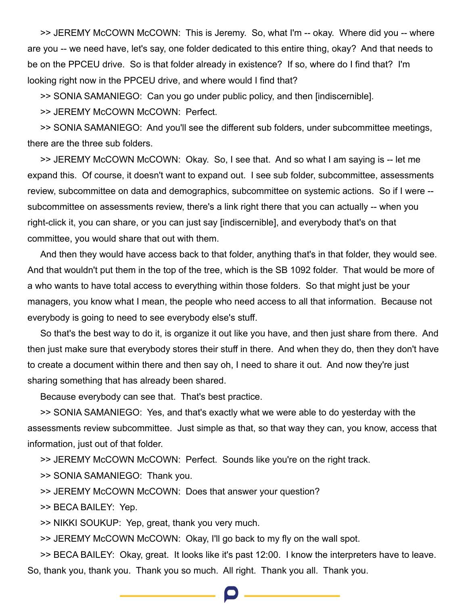>> JEREMY McCOWN McCOWN: This is Jeremy. So, what I'm -- okay. Where did you -- where are you -- we need have, let's say, one folder dedicated to this entire thing, okay? And that needs to be on the PPCEU drive. So is that folder already in existence? If so, where do I find that? I'm looking right now in the PPCEU drive, and where would I find that?

>> SONIA SAMANIEGO: Can you go under public policy, and then [indiscernible].

>> JEREMY McCOWN McCOWN: Perfect.

>> SONIA SAMANIEGO: And you'll see the different sub folders, under subcommittee meetings, there are the three sub folders.

>> JEREMY McCOWN McCOWN: Okay. So, I see that. And so what I am saying is -- let me expand this. Of course, it doesn't want to expand out. I see sub folder, subcommittee, assessments review, subcommittee on data and demographics, subcommittee on systemic actions. So if I were - subcommittee on assessments review, there's a link right there that you can actually -- when you right-click it, you can share, or you can just say [indiscernible], and everybody that's on that committee, you would share that out with them.

And then they would have access back to that folder, anything that's in that folder, they would see. And that wouldn't put them in the top of the tree, which is the SB 1092 folder. That would be more of a who wants to have total access to everything within those folders. So that might just be your managers, you know what I mean, the people who need access to all that information. Because not everybody is going to need to see everybody else's stuff.

So that's the best way to do it, is organize it out like you have, and then just share from there. And then just make sure that everybody stores their stuff in there. And when they do, then they don't have to create a document within there and then say oh, I need to share it out. And now they're just sharing something that has already been shared.

Because everybody can see that. That's best practice.

>> SONIA SAMANIEGO: Yes, and that's exactly what we were able to do yesterday with the assessments review subcommittee. Just simple as that, so that way they can, you know, access that information, just out of that folder.

>> JEREMY McCOWN McCOWN: Perfect. Sounds like you're on the right track.

>> SONIA SAMANIEGO: Thank you.

>> JEREMY McCOWN McCOWN: Does that answer your question?

>> BECA BAILEY: Yep.

>> NIKKI SOUKUP: Yep, great, thank you very much.

>> JEREMY McCOWN McCOWN: Okay, I'll go back to my fly on the wall spot.

>> BECA BAILEY: Okay, great. It looks like it's past 12:00. I know the interpreters have to leave. So, thank you, thank you. Thank you so much. All right. Thank you all. Thank you.